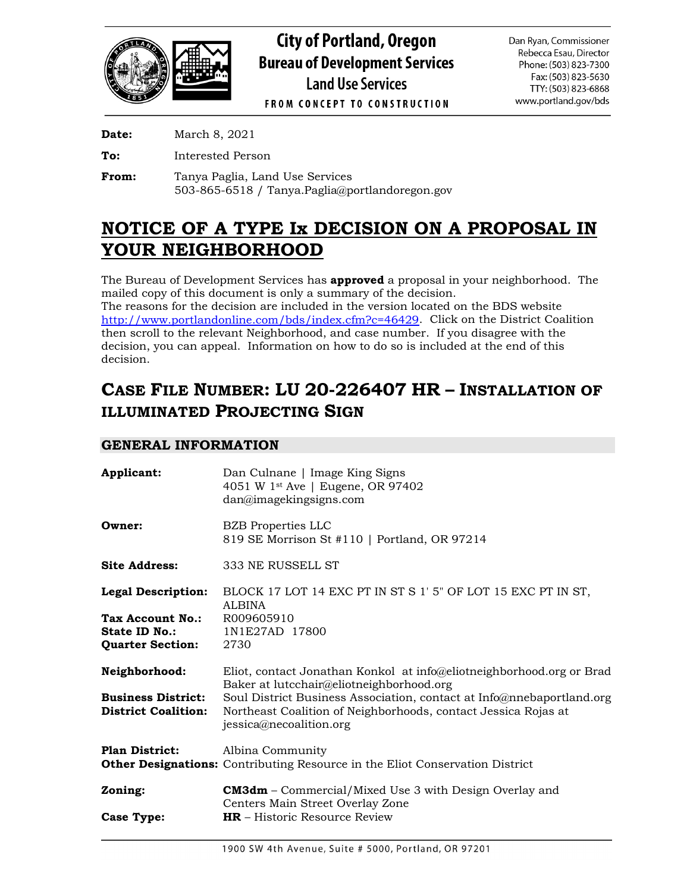

**Date:** March 8, 2021

**To:** Interested Person

**From:** Tanya Paglia, Land Use Services 503-865-6518 / Tanya.Paglia@portlandoregon.gov

# **NOTICE OF A TYPE Ix DECISION ON A PROPOSAL IN YOUR NEIGHBORHOOD**

The Bureau of Development Services has **approved** a proposal in your neighborhood. The mailed copy of this document is only a summary of the decision.

The reasons for the decision are included in the version located on the BDS website [http://www.portlandonline.com/bds/index.cfm?c=46429.](http://www.portlandonline.com/bds/index.cfm?c=46429) Click on the District Coalition then scroll to the relevant Neighborhood, and case number. If you disagree with the decision, you can appeal. Information on how to do so is included at the end of this decision.

# **CASE FILE NUMBER: LU 20-226407 HR – INSTALLATION OF ILLUMINATED PROJECTING SIGN**

# **GENERAL INFORMATION**

| Applicant:                 | Dan Culnane   Image King Signs<br>4051 W 1st Ave   Eugene, OR 97402<br>dan@imagekingsigns.com                    |
|----------------------------|------------------------------------------------------------------------------------------------------------------|
| Owner:                     | <b>BZB</b> Properties LLC<br>819 SE Morrison St #110   Portland, OR 97214                                        |
| <b>Site Address:</b>       | 333 NE RUSSELL ST                                                                                                |
| <b>Legal Description:</b>  | BLOCK 17 LOT 14 EXC PT IN ST S 1' 5" OF LOT 15 EXC PT IN ST,<br><b>ALBINA</b>                                    |
| Tax Account No.:           | R009605910                                                                                                       |
| <b>State ID No.:</b>       | 1N1E27AD 17800                                                                                                   |
| <b>Quarter Section:</b>    | 2730                                                                                                             |
| Neighborhood:              | Eliot, contact Jonathan Konkol at info@eliotneighborhood.org or Brad<br>Baker at lutcchair@eliotneighborhood.org |
| <b>Business District:</b>  | Soul District Business Association, contact at Info@nnebaportland.org                                            |
| <b>District Coalition:</b> | Northeast Coalition of Neighborhoods, contact Jessica Rojas at<br>jessica@necoalition.org                        |
| <b>Plan District:</b>      | Albina Community                                                                                                 |
|                            | <b>Other Designations:</b> Contributing Resource in the Eliot Conservation District                              |
| Zoning:                    | <b>CM3dm</b> – Commercial/Mixed Use 3 with Design Overlay and<br>Centers Main Street Overlay Zone                |
| <b>Case Type:</b>          | $HR$ – Historic Resource Review                                                                                  |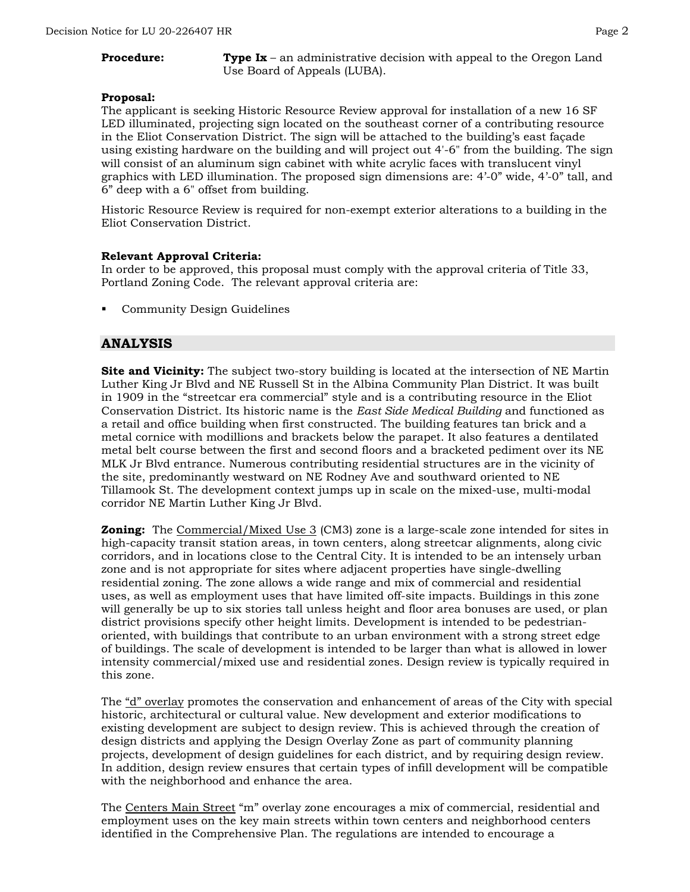**Procedure: Type Ix** – an administrative decision with appeal to the Oregon Land Use Board of Appeals (LUBA).

#### **Proposal:**

The applicant is seeking Historic Resource Review approval for installation of a new 16 SF LED illuminated, projecting sign located on the southeast corner of a contributing resource in the Eliot Conservation District. The sign will be attached to the building's east façade using existing hardware on the building and will project out 4'-6" from the building. The sign will consist of an aluminum sign cabinet with white acrylic faces with translucent vinyl graphics with LED illumination. The proposed sign dimensions are: 4'-0" wide, 4'-0" tall, and 6" deep with a 6" offset from building.

Historic Resource Review is required for non-exempt exterior alterations to a building in the Eliot Conservation District.

#### **Relevant Approval Criteria:**

In order to be approved, this proposal must comply with the approval criteria of Title 33, Portland Zoning Code. The relevant approval criteria are:

Community Design Guidelines

# **ANALYSIS**

**Site and Vicinity:** The subject two-story building is located at the intersection of NE Martin Luther King Jr Blvd and NE Russell St in the Albina Community Plan District. It was built in 1909 in the "streetcar era commercial" style and is a contributing resource in the Eliot Conservation District. Its historic name is the *East Side Medical Building* and functioned as a retail and office building when first constructed. The building features tan brick and a metal cornice with modillions and brackets below the parapet. It also features a dentilated metal belt course between the first and second floors and a bracketed pediment over its NE MLK Jr Blvd entrance. Numerous contributing residential structures are in the vicinity of the site, predominantly westward on NE Rodney Ave and southward oriented to NE Tillamook St. The development context jumps up in scale on the mixed-use, multi-modal corridor NE Martin Luther King Jr Blvd.

**Zoning:** The Commercial/Mixed Use 3 (CM3) zone is a large-scale zone intended for sites in high-capacity transit station areas, in town centers, along streetcar alignments, along civic corridors, and in locations close to the Central City. It is intended to be an intensely urban zone and is not appropriate for sites where adjacent properties have single-dwelling residential zoning. The zone allows a wide range and mix of commercial and residential uses, as well as employment uses that have limited off-site impacts. Buildings in this zone will generally be up to six stories tall unless height and floor area bonuses are used, or plan district provisions specify other height limits. Development is intended to be pedestrianoriented, with buildings that contribute to an urban environment with a strong street edge of buildings. The scale of development is intended to be larger than what is allowed in lower intensity commercial/mixed use and residential zones. Design review is typically required in this zone.

The "d" overlay promotes the conservation and enhancement of areas of the City with special historic, architectural or cultural value. New development and exterior modifications to existing development are subject to design review. This is achieved through the creation of design districts and applying the Design Overlay Zone as part of community planning projects, development of design guidelines for each district, and by requiring design review. In addition, design review ensures that certain types of infill development will be compatible with the neighborhood and enhance the area.

The Centers Main Street "m" overlay zone encourages a mix of commercial, residential and employment uses on the key main streets within town centers and neighborhood centers identified in the Comprehensive Plan. The regulations are intended to encourage a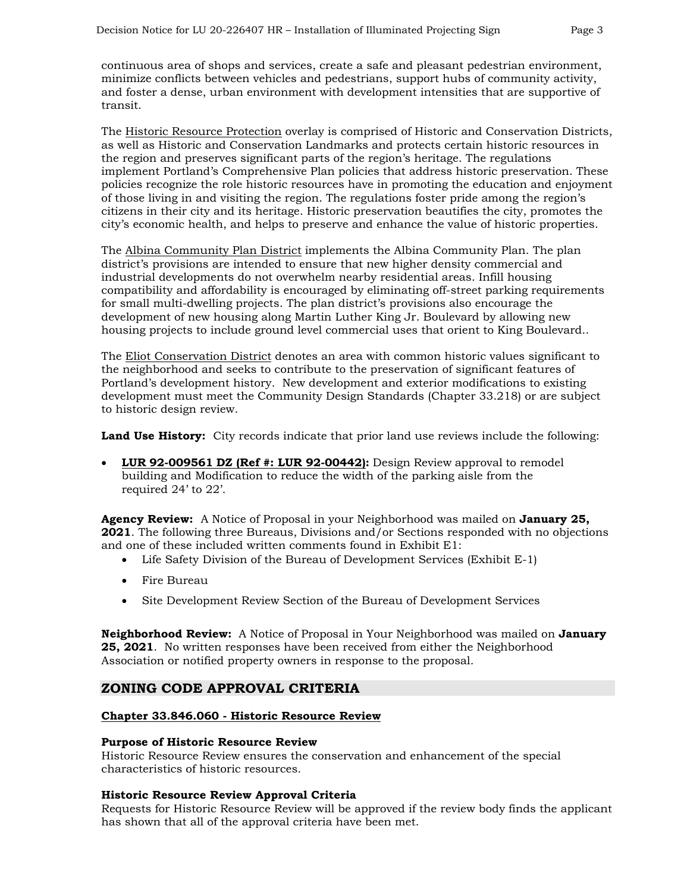continuous area of shops and services, create a safe and pleasant pedestrian environment, minimize conflicts between vehicles and pedestrians, support hubs of community activity, and foster a dense, urban environment with development intensities that are supportive of transit.

The Historic Resource Protection overlay is comprised of Historic and Conservation Districts, as well as Historic and Conservation Landmarks and protects certain historic resources in the region and preserves significant parts of the region's heritage. The regulations implement Portland's Comprehensive Plan policies that address historic preservation. These policies recognize the role historic resources have in promoting the education and enjoyment of those living in and visiting the region. The regulations foster pride among the region's citizens in their city and its heritage. Historic preservation beautifies the city, promotes the city's economic health, and helps to preserve and enhance the value of historic properties.

The Albina Community Plan District implements the Albina Community Plan. The plan district's provisions are intended to ensure that new higher density commercial and industrial developments do not overwhelm nearby residential areas. Infill housing compatibility and affordability is encouraged by eliminating off-street parking requirements for small multi-dwelling projects. The plan district's provisions also encourage the development of new housing along Martin Luther King Jr. Boulevard by allowing new housing projects to include ground level commercial uses that orient to King Boulevard..

The Eliot Conservation District denotes an area with common historic values significant to the neighborhood and seeks to contribute to the preservation of significant features of Portland's development history. New development and exterior modifications to existing development must meet the Community Design Standards (Chapter 33.218) or are subject to historic design review.

**Land Use History:** City records indicate that prior land use reviews include the following:

• **LUR 92-009561 DZ (Ref #: LUR 92-00442):** Design Review approval to remodel building and Modification to reduce the width of the parking aisle from the required 24' to 22'.

**Agency Review:** A Notice of Proposal in your Neighborhood was mailed on **January 25, 2021**. The following three Bureaus, Divisions and/or Sections responded with no objections and one of these included written comments found in Exhibit E1:

- Life Safety Division of the Bureau of Development Services (Exhibit E-1)
- Fire Bureau
- Site Development Review Section of the Bureau of Development Services

**Neighborhood Review:** A Notice of Proposal in Your Neighborhood was mailed on **January 25, 2021**. No written responses have been received from either the Neighborhood Association or notified property owners in response to the proposal.

# **ZONING CODE APPROVAL CRITERIA**

## **Chapter 33.846.060 - Historic Resource Review**

#### **Purpose of Historic Resource Review**

Historic Resource Review ensures the conservation and enhancement of the special characteristics of historic resources.

#### **Historic Resource Review Approval Criteria**

Requests for Historic Resource Review will be approved if the review body finds the applicant has shown that all of the approval criteria have been met.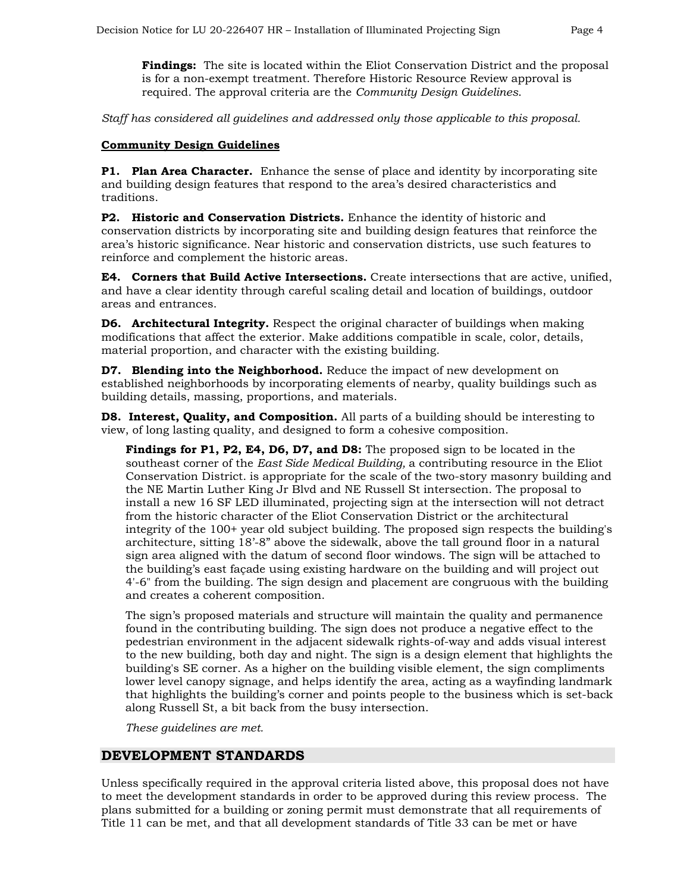**Findings:** The site is located within the Eliot Conservation District and the proposal is for a non-exempt treatment. Therefore Historic Resource Review approval is required. The approval criteria are the *Community Design Guidelines*.

*Staff has considered all guidelines and addressed only those applicable to this proposal.*

### **Community Design Guidelines**

**P1. Plan Area Character.** Enhance the sense of place and identity by incorporating site and building design features that respond to the area's desired characteristics and traditions.

**P2. Historic and Conservation Districts.** Enhance the identity of historic and conservation districts by incorporating site and building design features that reinforce the area's historic significance. Near historic and conservation districts, use such features to reinforce and complement the historic areas.

**E4. Corners that Build Active Intersections.** Create intersections that are active, unified, and have a clear identity through careful scaling detail and location of buildings, outdoor areas and entrances.

**D6. Architectural Integrity.** Respect the original character of buildings when making modifications that affect the exterior. Make additions compatible in scale, color, details, material proportion, and character with the existing building.

**D7. Blending into the Neighborhood.** Reduce the impact of new development on established neighborhoods by incorporating elements of nearby, quality buildings such as building details, massing, proportions, and materials.

**D8. Interest, Quality, and Composition.** All parts of a building should be interesting to view, of long lasting quality, and designed to form a cohesive composition.

**Findings for P1, P2, E4, D6, D7, and D8:** The proposed sign to be located in the southeast corner of the *East Side Medical Building,* a contributing resource in the Eliot Conservation District. is appropriate for the scale of the two-story masonry building and the NE Martin Luther King Jr Blvd and NE Russell St intersection. The proposal to install a new 16 SF LED illuminated, projecting sign at the intersection will not detract from the historic character of the Eliot Conservation District or the architectural integrity of the 100+ year old subject building. The proposed sign respects the building's architecture, sitting 18'-8" above the sidewalk, above the tall ground floor in a natural sign area aligned with the datum of second floor windows. The sign will be attached to the building's east façade using existing hardware on the building and will project out 4'-6" from the building. The sign design and placement are congruous with the building and creates a coherent composition.

The sign's proposed materials and structure will maintain the quality and permanence found in the contributing building. The sign does not produce a negative effect to the pedestrian environment in the adjacent sidewalk rights-of-way and adds visual interest to the new building, both day and night. The sign is a design element that highlights the building's SE corner. As a higher on the building visible element, the sign compliments lower level canopy signage, and helps identify the area, acting as a wayfinding landmark that highlights the building's corner and points people to the business which is set-back along Russell St, a bit back from the busy intersection.

*These guidelines are met.*

## **DEVELOPMENT STANDARDS**

Unless specifically required in the approval criteria listed above, this proposal does not have to meet the development standards in order to be approved during this review process. The plans submitted for a building or zoning permit must demonstrate that all requirements of Title 11 can be met, and that all development standards of Title 33 can be met or have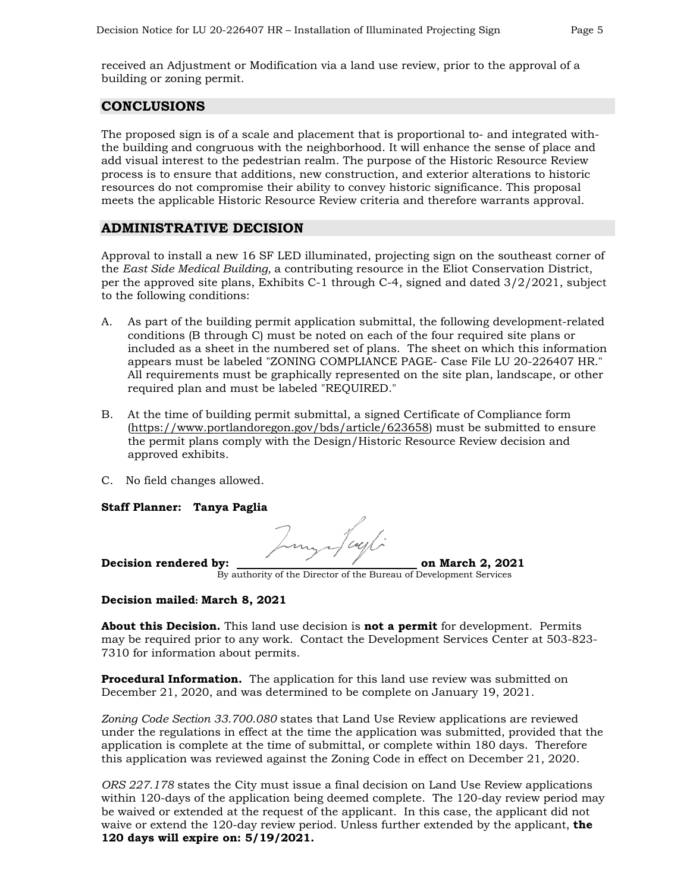received an Adjustment or Modification via a land use review, prior to the approval of a building or zoning permit.

# **CONCLUSIONS**

The proposed sign is of a scale and placement that is proportional to- and integrated withthe building and congruous with the neighborhood. It will enhance the sense of place and add visual interest to the pedestrian realm. The purpose of the Historic Resource Review process is to ensure that additions, new construction, and exterior alterations to historic resources do not compromise their ability to convey historic significance. This proposal meets the applicable Historic Resource Review criteria and therefore warrants approval.

# **ADMINISTRATIVE DECISION**

Approval to install a new 16 SF LED illuminated, projecting sign on the southeast corner of the *East Side Medical Building,* a contributing resource in the Eliot Conservation District, per the approved site plans, Exhibits C-1 through C-4, signed and dated 3/2/2021, subject to the following conditions:

- A. As part of the building permit application submittal, the following development-related conditions (B through C) must be noted on each of the four required site plans or included as a sheet in the numbered set of plans. The sheet on which this information appears must be labeled "ZONING COMPLIANCE PAGE- Case File LU 20-226407 HR." All requirements must be graphically represented on the site plan, landscape, or other required plan and must be labeled "REQUIRED."
- B. At the time of building permit submittal, a signed Certificate of Compliance form [\(https://www.portlandoregon.gov/bds/article/623658\)](https://www.portlandoregon.gov/bds/article/623658) must be submitted to ensure the permit plans comply with the Design/Historic Resource Review decision and approved exhibits.
- C. No field changes allowed.

**Staff Planner: Tanya Paglia**

Decision rendered by: <u>the contract of the contract on March 2, 2021</u>

By authority of the Director of the Bureau of Development Services

#### **Decision mailed: March 8, 2021**

**About this Decision.** This land use decision is **not a permit** for development. Permits may be required prior to any work. Contact the Development Services Center at 503-823- 7310 for information about permits.

**Procedural Information.** The application for this land use review was submitted on December 21, 2020, and was determined to be complete on January 19, 2021.

*Zoning Code Section 33.700.080* states that Land Use Review applications are reviewed under the regulations in effect at the time the application was submitted, provided that the application is complete at the time of submittal, or complete within 180 days. Therefore this application was reviewed against the Zoning Code in effect on December 21, 2020.

*ORS 227.178* states the City must issue a final decision on Land Use Review applications within 120-days of the application being deemed complete. The 120-day review period may be waived or extended at the request of the applicant. In this case, the applicant did not waive or extend the 120-day review period. Unless further extended by the applicant, **the 120 days will expire on: 5/19/2021.**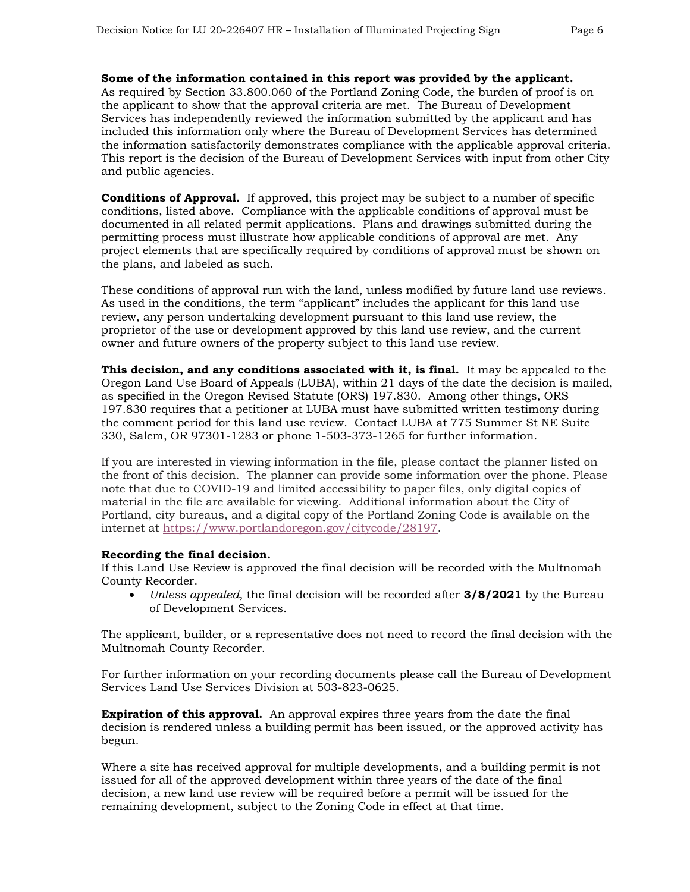#### **Some of the information contained in this report was provided by the applicant.**

As required by Section 33.800.060 of the Portland Zoning Code, the burden of proof is on the applicant to show that the approval criteria are met. The Bureau of Development Services has independently reviewed the information submitted by the applicant and has included this information only where the Bureau of Development Services has determined the information satisfactorily demonstrates compliance with the applicable approval criteria. This report is the decision of the Bureau of Development Services with input from other City and public agencies.

**Conditions of Approval.** If approved, this project may be subject to a number of specific conditions, listed above. Compliance with the applicable conditions of approval must be documented in all related permit applications. Plans and drawings submitted during the permitting process must illustrate how applicable conditions of approval are met. Any project elements that are specifically required by conditions of approval must be shown on the plans, and labeled as such.

These conditions of approval run with the land, unless modified by future land use reviews. As used in the conditions, the term "applicant" includes the applicant for this land use review, any person undertaking development pursuant to this land use review, the proprietor of the use or development approved by this land use review, and the current owner and future owners of the property subject to this land use review.

**This decision, and any conditions associated with it, is final.** It may be appealed to the Oregon Land Use Board of Appeals (LUBA), within 21 days of the date the decision is mailed, as specified in the Oregon Revised Statute (ORS) 197.830. Among other things, ORS 197.830 requires that a petitioner at LUBA must have submitted written testimony during the comment period for this land use review. Contact LUBA at 775 Summer St NE Suite 330, Salem, OR 97301-1283 or phone 1-503-373-1265 for further information.

If you are interested in viewing information in the file, please contact the planner listed on the front of this decision. The planner can provide some information over the phone. Please note that due to COVID-19 and limited accessibility to paper files, only digital copies of material in the file are available for viewing. Additional information about the City of Portland, city bureaus, and a digital copy of the Portland Zoning Code is available on the internet at [https://www.portlandoregon.gov/citycode/28197.](https://www.portlandoregon.gov/citycode/28197)

#### **Recording the final decision.**

If this Land Use Review is approved the final decision will be recorded with the Multnomah County Recorder.

• *Unless appealed*, the final decision will be recorded after **3/8/2021** by the Bureau of Development Services.

The applicant, builder, or a representative does not need to record the final decision with the Multnomah County Recorder.

For further information on your recording documents please call the Bureau of Development Services Land Use Services Division at 503-823-0625.

**Expiration of this approval.** An approval expires three years from the date the final decision is rendered unless a building permit has been issued, or the approved activity has begun.

Where a site has received approval for multiple developments, and a building permit is not issued for all of the approved development within three years of the date of the final decision, a new land use review will be required before a permit will be issued for the remaining development, subject to the Zoning Code in effect at that time.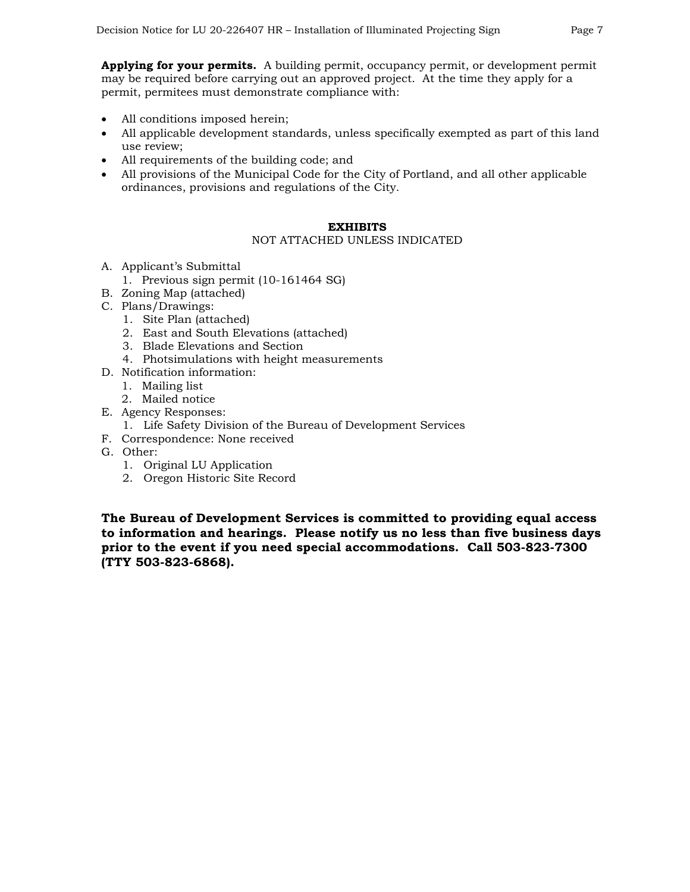**Applying for your permits.** A building permit, occupancy permit, or development permit may be required before carrying out an approved project. At the time they apply for a permit, permitees must demonstrate compliance with:

- All conditions imposed herein;
- All applicable development standards, unless specifically exempted as part of this land use review;
- All requirements of the building code; and
- All provisions of the Municipal Code for the City of Portland, and all other applicable ordinances, provisions and regulations of the City.

#### **EXHIBITS**

#### NOT ATTACHED UNLESS INDICATED

- A. Applicant's Submittal
	- 1. Previous sign permit (10-161464 SG)
- B. Zoning Map (attached)
- C. Plans/Drawings:
	- 1. Site Plan (attached)
	- 2. East and South Elevations (attached)
	- 3. Blade Elevations and Section
	- 4. Photsimulations with height measurements
- D. Notification information:
	- 1. Mailing list
	- 2. Mailed notice
- E. Agency Responses:
	- 1. Life Safety Division of the Bureau of Development Services
- F. Correspondence: None received
- G. Other:
	- 1. Original LU Application
	- 2. Oregon Historic Site Record

**The Bureau of Development Services is committed to providing equal access to information and hearings. Please notify us no less than five business days prior to the event if you need special accommodations. Call 503-823-7300 (TTY 503-823-6868).**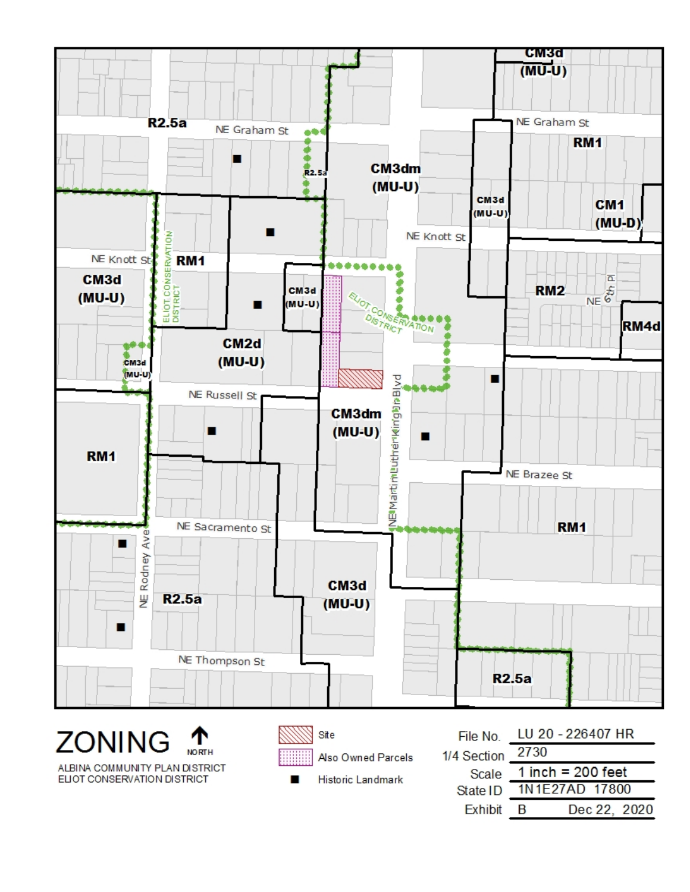

ALBINA COMMUNITY PLAN DISTRICT ELIOT CONSERVATION DISTRICT

■

Also Owned Parcels

Historic Landmark

| File No.       | LU 20 - 226407 HR   |
|----------------|---------------------|
| <b>Section</b> | 2730                |
| Scale          | 1 inch = $200$ feet |
| State ID       | 1N1E27AD 17800      |
| Exhibit        | Dec 22, 2020<br>R   |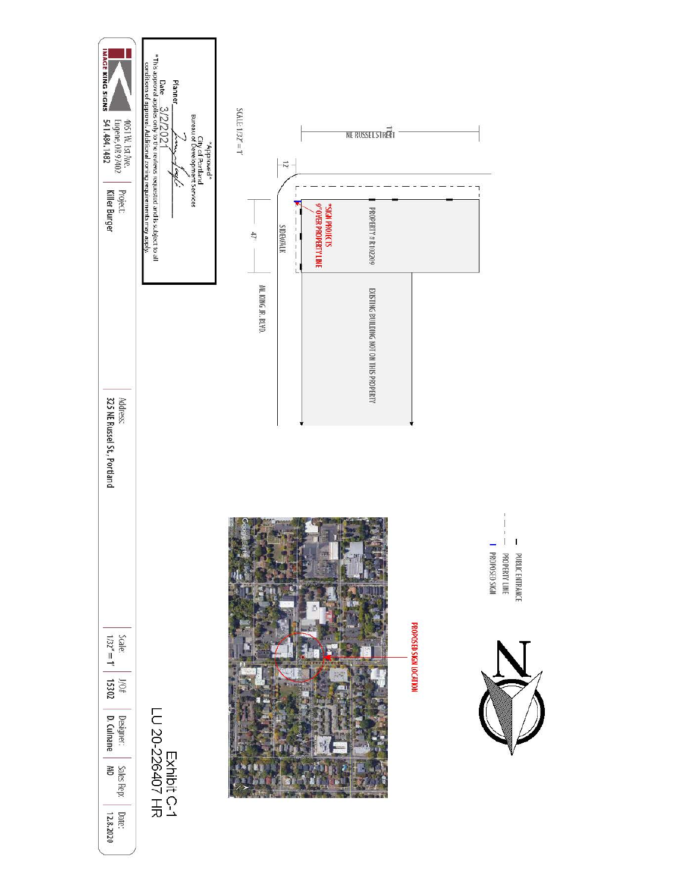

- PROPOSED SIGN<br>HIVERTY LINE  $\mathbf I$  $\mathbf{I}$ PUBLIC ENTRANCE